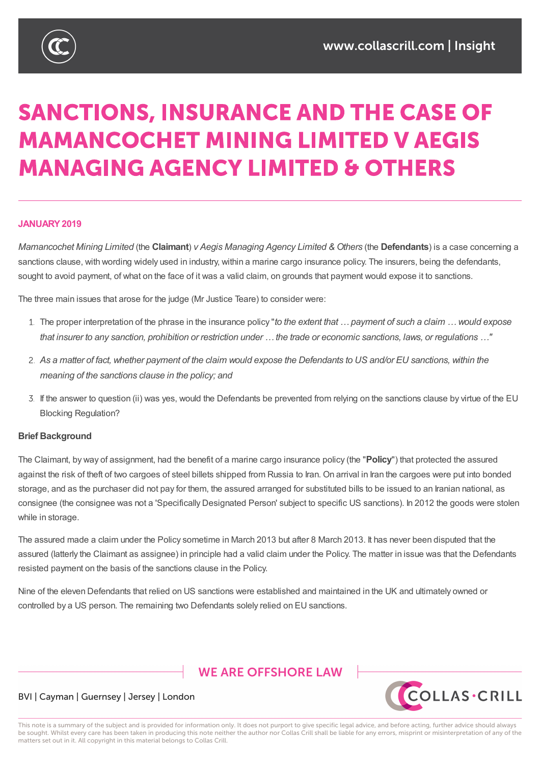

# **SANCTIONS, INSURANCE AND THE CASE OF MAMANCOCHET MINING LIMITED V AEGIS MANAGING AGENCY LIMITED & OTHERS**

#### **JANUARY2019**

*Mamancochet Mining Limited* (the **Claimant**) *v Aegis Managing Agency Limited & Others* (the **Defendants**) is a case concerning a sanctions clause, with wording widely used in industry, within a marine cargo insurance policy. The insurers, being the defendants, sought to avoid payment, of what on the face of it was a valid claim, on grounds that payment would expose it to sanctions.

The three main issues that arose for the judge (Mr Justice Teare) to consider were:

- The proper interpretation of the phrase in the insurance policy "*to the extent that … payment of such a claim … would expose* that insurer to any sanction, prohibition or restriction under ... the trade or economic sanctions, laws, or regulations ..."
- 2. As a matter of fact, whether payment of the claim would expose the Defendants to US and/or EU sanctions, within the *meaning of the sanctions clause in the policy; and*
- If the answer to question (ii) was yes, would the Defendants be prevented from relying on the sanctions clause by virtue of the EU Blocking Regulation?

#### **Brief Background**

The Claimant, by way of assignment, had the benefit of a marine cargo insurance policy (the "**Policy**") that protected the assured against the risk of theft of two cargoes of steel billets shipped from Russia to Iran. On arrival in Iran the cargoes were put into bonded storage, and as the purchaser did not pay for them, the assured arranged for substituted bills to be issued to an Iranian national, as consignee (the consignee was not a 'Specifically Designated Person' subject to specific US sanctions). In 2012 the goods were stolen while in storage.

The assured made a claim under the Policy sometime in March 2013 but after 8 March 2013. It has never been disputed that the assured (latterly the Claimant as assignee) in principle had a valid claim under the Policy. The matter in issue was that the Defendants resisted payment on the basis of the sanctions clause in the Policy.

Nine of the eleven Defendants that relied on US sanctions were established and maintained in the UK and ultimately owned or controlled by a US person. The remaining two Defendants solely relied on EU sanctions.

### **WE ARE OFFSHORE I AW**



#### BVI | Cayman | Guernsey | Jersey | London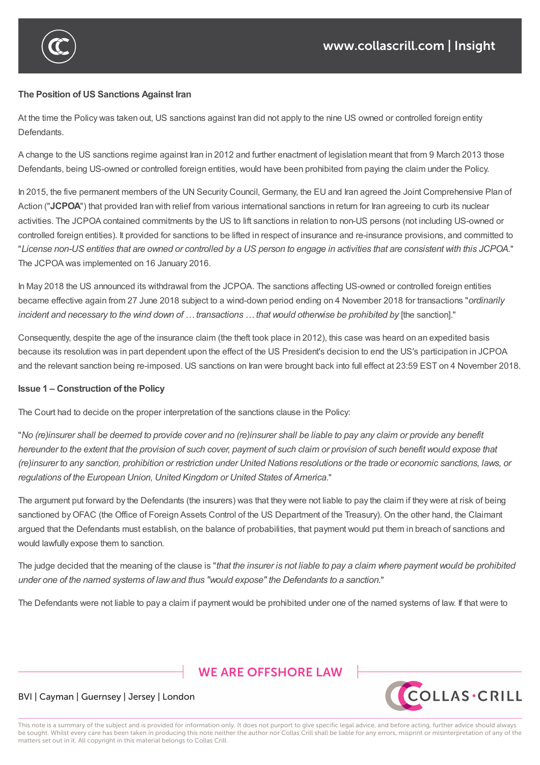

#### **The Position of US Sanctions Against Iran**

At the time the Policy was taken out, US sanctions against Iran did not apply to the nine US owned or controlled foreign entity Defendants.

A change to the US sanctions regime against Iran in 2012 and further enactment of legislation meant that from 9 March 2013 those Defendants, being US-owned or controlled foreign entities, would have been prohibited from paying the claim under the Policy.

In 2015, the five permanent members of the UN Security Council, Germany, the EU and Iran agreed the Joint Comprehensive Plan of Action ("**JCPOA**") that provided Iran with relief from various international sanctions in return for Iran agreeing to curb its nuclear activities. The JCPOA contained commitments by the US to lift sanctions in relation to non-US persons (not including US-owned or controlled foreign entities). It provided for sanctions to be lifted in respect of insurance and re-insurance provisions, and committed to "License non-US entities that are owned or controlled by a US person to engage in activities that are consistent with this JCPOA." The JCPOA was implemented on 16 January 2016.

In May 2018 the US announced its withdrawal from the JCPOA. The sanctions affecting US-owned or controlled foreign entities became effective again from 27 June 2018 subject to a wind-down period ending on 4 November 2018 for transactions "*ordinarily* incident and necessary to the wind down of ... transactions ... that would otherwise be prohibited by [the sanction]."

Consequently, despite the age of the insurance claim (the theft took place in 2012), this case was heard on an expedited basis because its resolution was in part dependent upon the effect of the US President's decision to end the US's participation in JCPOA and the relevant sanction being re-imposed. US sanctions on Iran were brought back into full effect at 23:59 EST on 4 November 2018.

#### **Issue 1 – Construction of the Policy**

The Court had to decide on the proper interpretation of the sanctions clause in the Policy:

controlled by a US person. The remaining two Defendants solely relied on EU sanctions.

"No (re)insurer shall be deemed to provide cover and no (re)insurer shall be liable to pay any claim or provide any benefit hereunder to the extent that the provision of such cover, payment of such claim or provision of such benefit would expose that (re)insurer to any sanction, prohibition or restriction under United Nations resolutions or the trade or economic sanctions, laws, or *regulations of the European Union, United Kingdom or United States of America.*"

The argument put forward by the Defendants (the insurers) was that they were not liable to pay the claim if they were at risk of being sanctioned by OFAC (the Office of Foreign Assets Control of the US Department of the Treasury). On the other hand, the Claimant argued that the Defendants must establish, on the balance of probabilities, that payment would put them in breach of sanctions and would lawfully expose them to sanction.

The judge decided that the meaning of the clause is "that the insurer is not liable to pay a claim where payment would be prohibited *under one of the named systems of lawand thus "would expose" the Defendants to a sanction.*"

The Defendants were not liable to pay a claim if payment would be prohibited under one of the named systems of law. If that were to

# **WE ARE OFFSHORE I AW**



#### BVI | Cayman | Guernsey | Jersey | London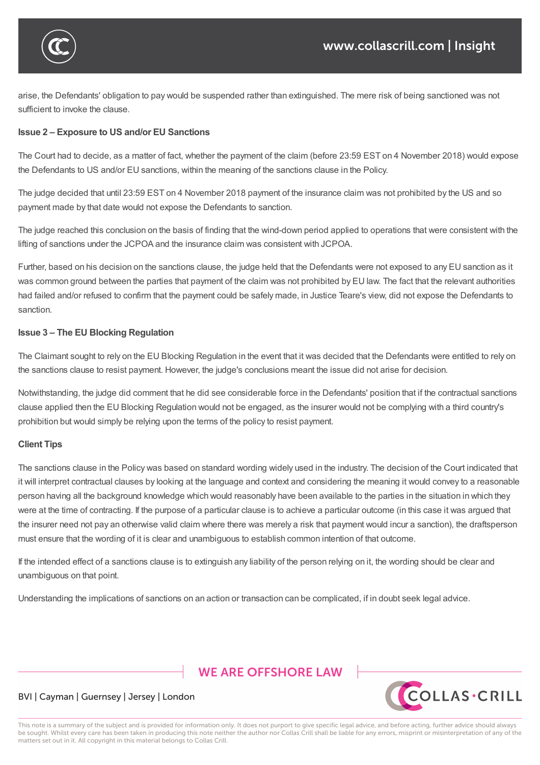

 $\bigcap$ The Defendants were not liable to payment would be prohibited under one of the named systems of  $\alpha$ 

arise, the Defendants' obligation to pay would be suspended rather than extinguished. The mere risk of being sanctioned was not sufficient to invoke the clause.

#### **Issue 2 – Exposure to US and/or EU Sanctions**

The Court had to decide, as a matter of fact, whether the payment of the claim (before 23:59 EST on 4 November 2018) would expose the Defendants to US and/or EU sanctions, within the meaning of the sanctions clause in the Policy.

The judge decided that until 23:59 EST on 4 November 2018 payment of the insurance claim was not prohibited by the US and so payment made by that date would not expose the Defendants to sanction.

The judge reached this conclusion on the basis of finding that the wind-down period applied to operations that were consistent with the lifting of sanctions under the JCPOA and the insurance claim was consistent with JCPOA.

Further, based on his decision on the sanctions clause, the judge held that the Defendants were not exposed to any EU sanction as it was common ground between the parties that payment of the claim was not prohibited by EU law. The fact that the relevant authorities had failed and/or refused to confirm that the payment could be safely made, in Justice Teare's view, did not expose the Defendants to sanction.

#### **Issue 3 – The EU Blocking Regulation**

The Claimant sought to rely on the EU Blocking Regulation in the event that it was decided that the Defendants were entitled to rely on the sanctions clause to resist payment. However, the judge's conclusions meant the issue did not arise for decision.

Notwithstanding, the judge did comment that he did see considerable force in the Defendants' position that if the contractual sanctions clause applied then the EU Blocking Regulation would not be engaged, as the insurer would not be complying with a third country's prohibition but would simply be relying upon the terms of the policy to resist payment.

#### **Client Tips**

The sanctions clause in the Policy was based on standard wording widely used in the industry. The decision of the Court indicated that it will interpret contractual clauses by looking at the language and context and considering the meaning it would convey to a reasonable person having all the background knowledge which would reasonably have been available to the parties in the situation in which they were at the time of contracting. If the purpose of a particular clause is to achieve a particular outcome (in this case it was argued that the insurer need not pay an otherwise valid claim where there was merely a risk that payment would incur a sanction), the draftsperson must ensure that the wording of it is clear and unambiguous to establish common intention of that outcome.

If the intended effect of a sanctions clause is to extinguish any liability of the person relying on it, the wording should be clear and unambiguous on that point.

Understanding the implications of sanctions on an action or transaction can be complicated, if in doubt seek legal advice.

# **WE ARE OFFSHORE I AW**



#### BVI | Cayman | Guernsey | Jersey | London